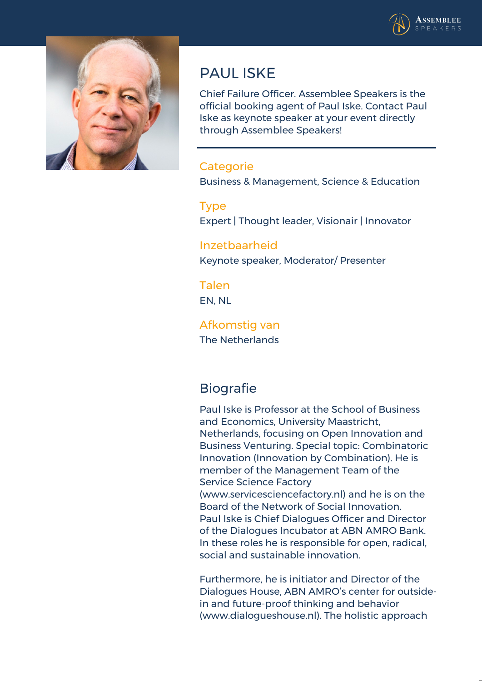



# **PAUL ISKE**

Chief Failure Officer. Assemblee Speakers is the official booking agent of Paul Iske. Contact Paul Iske as keynote speaker at your event directly through Assemblee Speakers!

### **Categorie**

Business & Management, Science & Education

#### **Type**

Expert | Thought leader, Visionair | Innovator

### **Inzetbaarheid**

Keynote speaker, Moderator/ Presenter

### **Talen**

EN, NL

#### **Afkomstig van** The Netherlands

## **Biografie**

Paul Iske is Professor at the School of Business and Economics, University Maastricht, Netherlands, focusing on Open Innovation and Business Venturing. Special topic: Combinatoric Innovation (Innovation by Combination). He is member of the Management Team of the Service Science Factory (www.servicesciencefactory.nl) and he is on the Board of the Network of Social Innovation.

Paul Iske is Chief Dialogues Officer and Director of the Dialogues Incubator at ABN AMRO Bank. In these roles he is responsible for open, radical, social and sustainable innovation.

Furthermore, he is initiator and Director of the Dialogues House, ABN AMRO's center for outsidein and future-proof thinking and behavior (www.dialogueshouse.nl). The holistic approach